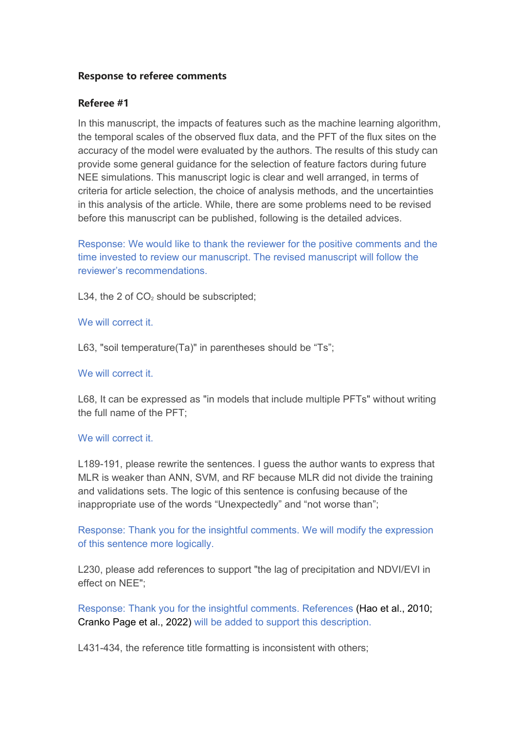# **Response to referee comments**

## **Referee #1**

In this manuscript, the impacts of features such as the machine learning algorithm, the temporal scales of the observed flux data, and the PFT of the flux sites on the accuracy of the model were evaluated by the authors. The results of this study can provide some general guidance for the selection of feature factors during future NEE simulations. This manuscript logic is clear and well arranged, in terms of criteria for article selection, the choice of analysis methods, and the uncertainties in this analysis of the article. While, there are some problems need to be revised before this manuscript can be published, following is the detailed advices.

Response: We would like to thank the reviewer for the positive comments and the time invested to review our manuscript. The revised manuscript will follow the reviewer's recommendations.

L34, the 2 of  $CO<sub>2</sub>$  should be subscripted;

### We will correct it.

L63, "soil temperature(Ta)" in parentheses should be "Ts";

#### We will correct it.

L68, It can be expressed as "in models that include multiple PFTs" without writing the full name of the PFT;

#### We will correct it.

L189-191, please rewrite the sentences. I guess the author wants to express that MLR is weaker than ANN, SVM, and RF because MLR did not divide the training and validations sets. The logic of this sentence is confusing because of the inappropriate use of the words "Unexpectedly" and "not worse than";

Response: Thank you for the insightful comments. We will modify the expression of this sentence more logically.

L230, please add references to support "the lag of precipitation and NDVI/EVI in effect on NEE";

Response: Thank you for the insightful comments. References (Hao et al., 2010; Cranko Page et al., 2022) will be added to support this description.

L431-434, the reference title formatting is inconsistent with others;